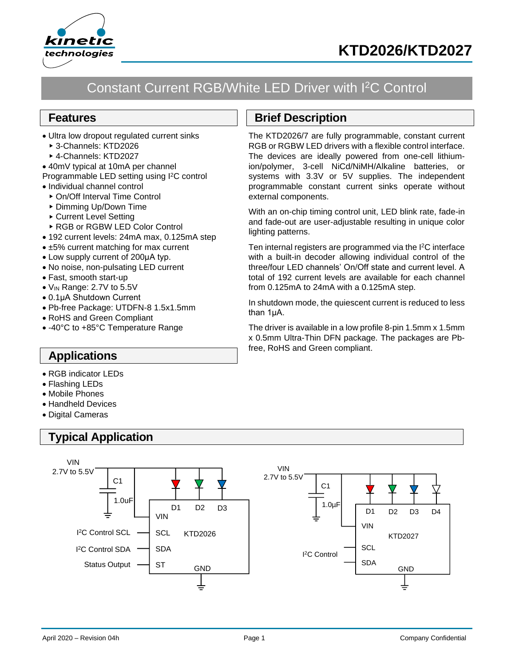



## Constant Current RGB/White LED Driver with I<sup>2</sup>C Control

### **Features**

- Ultra low dropout regulated current sinks
	- 3-Channels: KTD2026
	- 4-Channels: KTD2027
- 40mV typical at 10mA per channel
- Programmable LED setting using I <sup>2</sup>C control
- Individual channel control
	- ▶ On/Off Interval Time Control
	- ▶ Dimming Up/Down Time
	- ▶ Current Level Setting
	- ▶ RGB or RGBW LED Color Control
- 192 current levels: 24mA max, 0.125mA step
- ±5% current matching for max current
- Low supply current of 200μA typ.
- No noise, non-pulsating LED current
- Fast, smooth start-up
- VIN Range: 2.7V to 5.5V
- 0.1μA Shutdown Current
- Pb-free Package: UTDFN-8 1.5x1.5mm
- RoHS and Green Compliant
- -40°C to +85°C Temperature Range

### **Applications**

- RGB indicator LEDs
- Flashing LEDs
- Mobile Phones
- Handheld Devices
- Digital Cameras

## **Typical Application**

#### SDA I<sup>2</sup>C Control SCL D1 D1 GND GND D<sub>2</sub> VIN VIN VIN  $2.7V$  to  $5.5V$ C1 1.0u $\mathsf{F}$ D3 D3  $SCL \rightarrow$  SCL KTD2026 Status Output — ST I<sup>2</sup>C Control SDA D<sub>1</sub> GND D<sub>2</sub> VIN **SDA** VIN 2.7V to 5.5V C1 1.0µF **SCL** D3 D4 KTD2027  $\overline{a}$ SCL I <sup>2</sup>C Control

## **Brief Description**

The KTD2026/7 are fully programmable, constant current RGB or RGBW LED drivers with a flexible control interface. The devices are ideally powered from one-cell lithiumion/polymer, 3-cell NiCd/NiMH/Alkaline batteries, or systems with 3.3V or 5V supplies. The independent programmable constant current sinks operate without external components.

With an on-chip timing control unit, LED blink rate, fade-in and fade-out are user-adjustable resulting in unique color lighting patterns.

Ten internal registers are programmed via the I <sup>2</sup>C interface with a built-in decoder allowing individual control of the three/four LED channels' On/Off state and current level. A total of 192 current levels are available for each channel from 0.125mA to 24mA with a 0.125mA step.

In shutdown mode, the quiescent current is reduced to less than 1μA.

The driver is available in a low profile 8-pin 1.5mm x 1.5mm x 0.5mm Ultra-Thin DFN package. The packages are Pbfree, RoHS and Green compliant.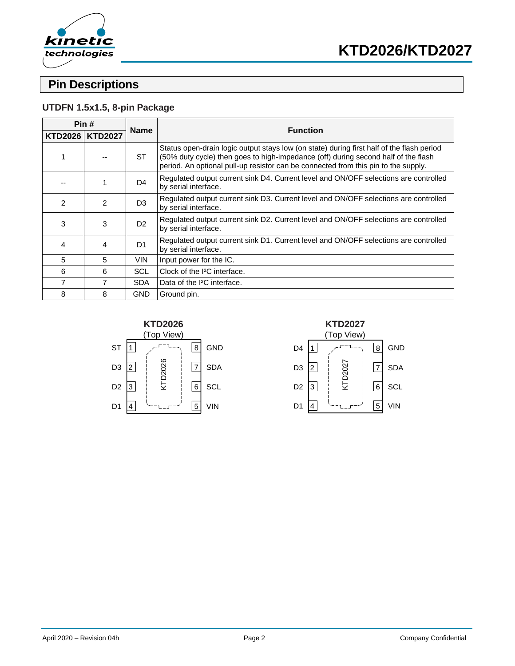

## **Pin Descriptions**

### **UTDFN 1.5x1.5, 8-pin Package**

| Pin# |                   | <b>Name</b>    | <b>Function</b>                                                                                                                                                                                                                                                       |
|------|-------------------|----------------|-----------------------------------------------------------------------------------------------------------------------------------------------------------------------------------------------------------------------------------------------------------------------|
|      | KTD2026   KTD2027 |                |                                                                                                                                                                                                                                                                       |
|      |                   | <b>ST</b>      | Status open-drain logic output stays low (on state) during first half of the flash period<br>(50% duty cycle) then goes to high-impedance (off) during second half of the flash<br>period. An optional pull-up resistor can be connected from this pin to the supply. |
|      | 1                 | D4             | Regulated output current sink D4. Current level and ON/OFF selections are controlled<br>by serial interface.                                                                                                                                                          |
| 2    | $\mathfrak{p}$    | D <sub>3</sub> | Regulated output current sink D3. Current level and ON/OFF selections are controlled<br>by serial interface.                                                                                                                                                          |
| 3    | 3                 | D <sub>2</sub> | Regulated output current sink D2. Current level and ON/OFF selections are controlled<br>by serial interface.                                                                                                                                                          |
| 4    | 4                 | D <sub>1</sub> | Regulated output current sink D1. Current level and ON/OFF selections are controlled<br>by serial interface.                                                                                                                                                          |
| 5    | 5                 | <b>VIN</b>     | Input power for the IC.                                                                                                                                                                                                                                               |
| 6    | 6                 | SCL            | Clock of the <sup>2</sup> C interface.                                                                                                                                                                                                                                |
| 7    | 7                 | <b>SDA</b>     | Data of the I <sup>2</sup> C interface.                                                                                                                                                                                                                               |
| 8    | 8                 | GND            | Ground pin.                                                                                                                                                                                                                                                           |



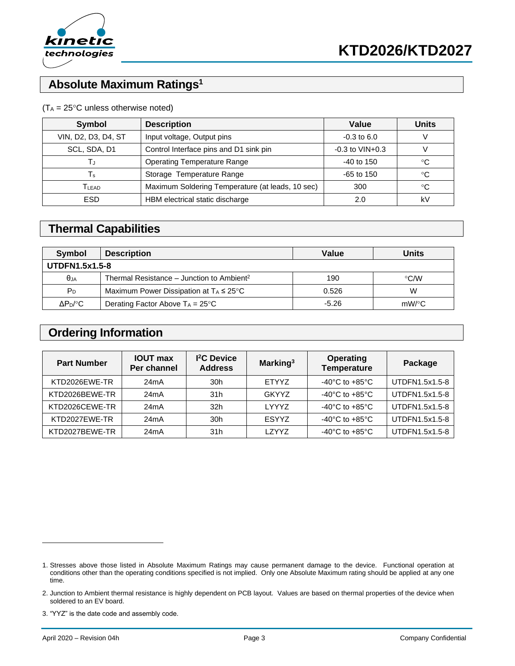

## **Absolute Maximum Ratings<sup>1</sup>**

#### $(T_A = 25^{\circ}C$  unless otherwise noted)

| Symbol              | <b>Description</b>                               | Value                 | <b>Units</b> |
|---------------------|--------------------------------------------------|-----------------------|--------------|
| VIN, D2, D3, D4, ST | Input voltage, Output pins                       | $-0.3$ to 6.0         |              |
| SCL, SDA, D1        | Control Interface pins and D1 sink pin           | $-0.3$ to $VIN + 0.3$ |              |
| ТJ                  | <b>Operating Temperature Range</b>               | $-40$ to 150          | °C           |
| $T_{\rm s}$         | Storage Temperature Range                        | $-65$ to 150          | °C           |
| TLEAD               | Maximum Soldering Temperature (at leads, 10 sec) | 300                   | °C           |
| <b>ESD</b>          | HBM electrical static discharge                  | 2.0                   | k۷           |

## **Thermal Capabilities**

| Symbol                | <b>Description</b>                                    | Value   | <b>Units</b> |
|-----------------------|-------------------------------------------------------|---------|--------------|
| <b>UTDFN1.5x1.5-8</b> |                                                       |         |              |
| $\theta$ JA           | Thermal Resistance – Junction to Ambient <sup>2</sup> | 190     | °C/W         |
| P <sub>D</sub>        | Maximum Power Dissipation at $T_A \leq 25^{\circ}C$   | 0.526   | W            |
| $\Delta P_D$ /°C      | Derating Factor Above $T_A = 25^{\circ}C$             | $-5.26$ | mW/°C        |

### **Ordering Information**

| <b>Part Number</b> | <b>IOUT max</b><br>Per channel | <sup>2</sup> C Device<br><b>Address</b> | Marking <sup>3</sup> | <b>Operating</b><br><b>Temperature</b> | Package        |
|--------------------|--------------------------------|-----------------------------------------|----------------------|----------------------------------------|----------------|
| KTD2026EWE-TR      | 24 <sub>m</sub> A              | 30 <sub>h</sub>                         | <b>ETYYZ</b>         | $-40^{\circ}$ C to $+85^{\circ}$ C     | UTDFN1.5x1.5-8 |
| KTD2026BEWE-TR     | 24mA                           | 31h                                     | <b>GKYYZ</b>         | $-40^{\circ}$ C to $+85^{\circ}$ C     | UTDFN1.5x1.5-8 |
| KTD2026CEWE-TR     | 24 <sub>m</sub> A              | 32 <sub>h</sub>                         | <b>LYYYZ</b>         | $-40^{\circ}$ C to $+85^{\circ}$ C     | UTDFN1.5x1.5-8 |
| KTD2027EWE-TR      | 24mA                           | 30 <sub>h</sub>                         | <b>ESYYZ</b>         | $-40^{\circ}$ C to $+85^{\circ}$ C     | UTDFN1.5x1.5-8 |
| KTD2027BEWE-TR     | 24mA                           | 31h                                     | LZYYZ                | $-40^{\circ}$ C to $+85^{\circ}$ C     | UTDFN1.5x1.5-8 |

<sup>1.</sup> Stresses above those listed in Absolute Maximum Ratings may cause permanent damage to the device. Functional operation at conditions other than the operating conditions specified is not implied. Only one Absolute Maximum rating should be applied at any one time.

<sup>2.</sup> Junction to Ambient thermal resistance is highly dependent on PCB layout. Values are based on thermal properties of the device when soldered to an EV board.

<sup>3.</sup> "YYZ" is the date code and assembly code.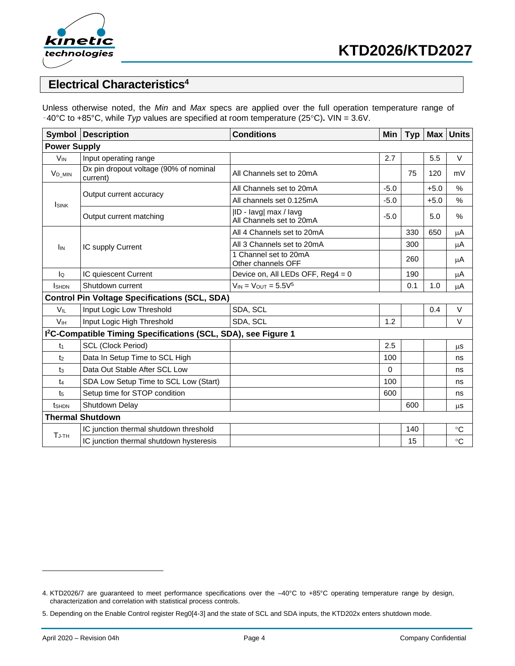

## **Electrical Characteristics<sup>4</sup>**

Unless otherwise noted, the *Min* and *Max* specs are applied over the full operation temperature range of –40°C to +85°C, while *Typ* values are specified at room temperature (25C)**.** VIN = 3.6V.

| <b>Symbol</b>         | <b>Description</b>                                                         | <b>Conditions</b>                                 | <b>Min</b> | <b>Typ</b> | <b>Max</b> | <b>Units</b>  |
|-----------------------|----------------------------------------------------------------------------|---------------------------------------------------|------------|------------|------------|---------------|
| <b>Power Supply</b>   |                                                                            |                                                   |            |            |            |               |
| <b>V<sub>IN</sub></b> | Input operating range                                                      |                                                   | 2.7        |            | 5.5        | $\vee$        |
| $V_{D\_MIN}$          | Dx pin dropout voltage (90% of nominal<br>current)                         | All Channels set to 20mA                          |            | 75         | 120        | mV            |
| <b>ISINK</b>          | Output current accuracy                                                    | All Channels set to 20mA                          | $-5.0$     |            | $+5.0$     | %             |
|                       |                                                                            | All channels set 0.125mA                          | $-5.0$     |            | $+5.0$     | $\frac{0}{0}$ |
|                       | Output current matching                                                    | ID - lavg  max / lavg<br>All Channels set to 20mA | $-5.0$     |            | 5.0        | %             |
|                       |                                                                            | All 4 Channels set to 20mA                        |            | 330        | 650        | μA            |
| I <sub>IN</sub>       | IC supply Current                                                          | All 3 Channels set to 20mA                        |            | 300        |            | μA            |
|                       |                                                                            | 1 Channel set to 20mA<br>Other channels OFF       |            | 260        |            | μA            |
| lo                    | IC quiescent Current                                                       | Device on, All LEDs OFF, Reg4 = 0                 |            | 190        |            | μA            |
| <b>I</b> SHDN         | Shutdown current                                                           | $V_{IN} = V_{OUT} = 5.5V^5$                       |            | 0.1        | 1.0        | μA            |
|                       | <b>Control Pin Voltage Specifications (SCL, SDA)</b>                       |                                                   |            |            |            |               |
| $V_{IL}$              | Input Logic Low Threshold                                                  | SDA, SCL                                          |            |            | 0.4        | $\vee$        |
| <b>V<sub>IH</sub></b> | Input Logic High Threshold                                                 | SDA, SCL                                          | 1.2        |            |            | V             |
|                       | I <sup>2</sup> C-Compatible Timing Specifications (SCL, SDA), see Figure 1 |                                                   |            |            |            |               |
| t <sub>1</sub>        | <b>SCL (Clock Period)</b>                                                  |                                                   | 2.5        |            |            | μs            |
| t <sub>2</sub>        | Data In Setup Time to SCL High                                             |                                                   | 100        |            |            | ns            |
| $t_3$                 | Data Out Stable After SCL Low                                              |                                                   | $\Omega$   |            |            | ns            |
| $t_{4}$               | SDA Low Setup Time to SCL Low (Start)                                      |                                                   | 100        |            |            | ns            |
| t <sub>5</sub>        | Setup time for STOP condition                                              |                                                   | 600        |            |            | ns            |
| tsh <sub>DN</sub>     | Shutdown Delay                                                             |                                                   |            | 600        |            | $\mu s$       |
|                       | <b>Thermal Shutdown</b>                                                    |                                                   |            |            |            |               |
| $T_{\text{J-TH}}$     | IC junction thermal shutdown threshold                                     |                                                   |            | 140        |            | $^{\circ}C$   |
|                       | IC junction thermal shutdown hysteresis                                    |                                                   |            | 15         |            | $^{\circ}C$   |

<sup>4.</sup> KTD2026/7 are guaranteed to meet performance specifications over the –40°C to +85°C operating temperature range by design, characterization and correlation with statistical process controls.

<sup>5.</sup> Depending on the Enable Control register Reg0[4-3] and the state of SCL and SDA inputs, the KTD202x enters shutdown mode.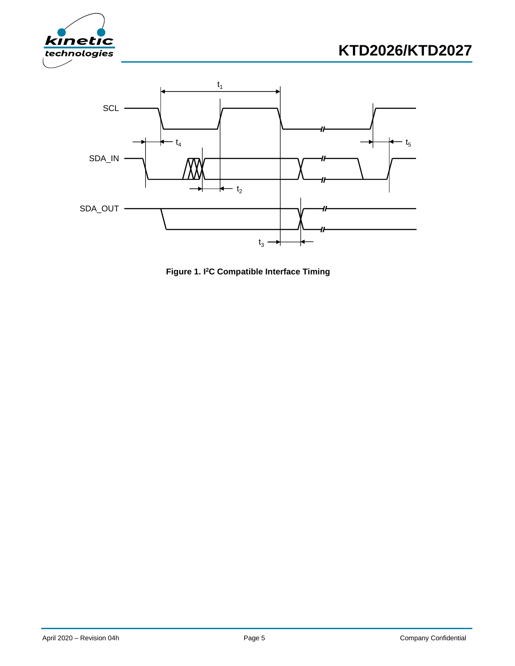





**Figure 1. I <sup>2</sup>C Compatible Interface Timing**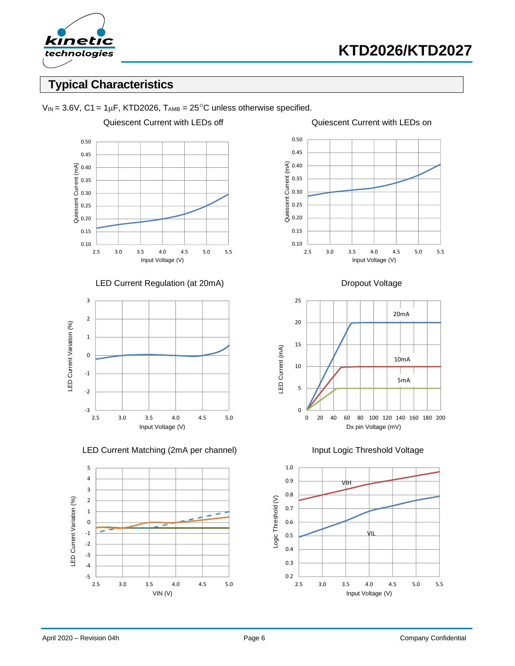

## **Typical Characteristics**



 $V_{IN}$  = 3.6V, C1 = 1 $\mu$ F, KTD2026, TAMB = 25<sup>°</sup>C unless otherwise specified.

#### LED Current Regulation (at 20mA) Dropout Voltage



LED Current Matching (2mA per channel) **Input Logic Threshold Voltage** 









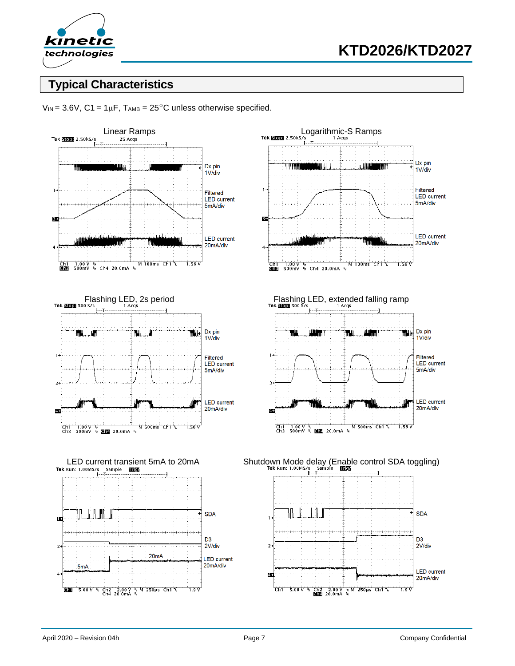

## **Typical Characteristics**



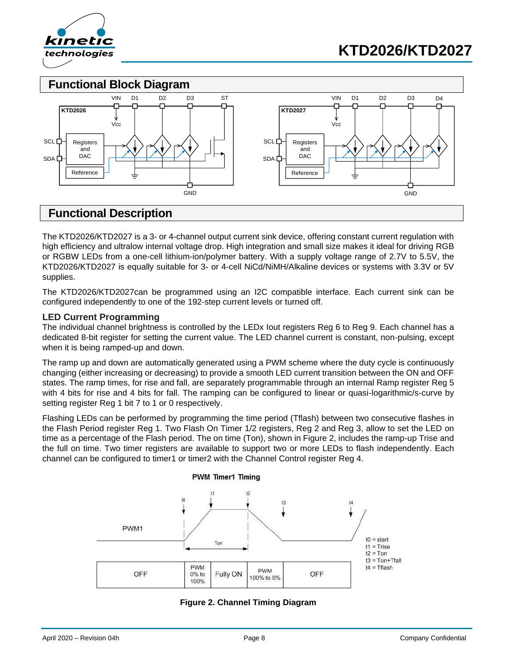

**Functional Block Diagram**



### **Functional Description**

The KTD2026/KTD2027 is a 3- or 4-channel output current sink device, offering constant current regulation with high efficiency and ultralow internal voltage drop. High integration and small size makes it ideal for driving RGB or RGBW LEDs from a one-cell lithium-ion/polymer battery. With a supply voltage range of 2.7V to 5.5V, the KTD2026/KTD2027 is equally suitable for 3- or 4-cell NiCd/NiMH/Alkaline devices or systems with 3.3V or 5V supplies.

The KTD2026/KTD2027can be programmed using an I2C compatible interface. Each current sink can be configured independently to one of the 192-step current levels or turned off.

#### **LED Current Programming**

The individual channel brightness is controlled by the LEDx Iout registers Reg 6 to Reg 9. Each channel has a dedicated 8-bit register for setting the current value. The LED channel current is constant, non-pulsing, except when it is being ramped-up and down.

The ramp up and down are automatically generated using a PWM scheme where the duty cycle is continuously changing (either increasing or decreasing) to provide a smooth LED current transition between the ON and OFF states. The ramp times, for rise and fall, are separately programmable through an internal Ramp register Reg 5 with 4 bits for rise and 4 bits for fall. The ramping can be configured to linear or quasi-logarithmic/s-curve by setting register Reg 1 bit 7 to 1 or 0 respectively.

Flashing LEDs can be performed by programming the time period (Tflash) between two consecutive flashes in the Flash Period register Reg 1. Two Flash On Timer 1/2 registers, Reg 2 and Reg 3, allow to set the LED on time as a percentage of the Flash period. The on time (Ton), shown in Figure 2, includes the ramp-up Trise and the full on time. Two timer registers are available to support two or more LEDs to flash independently. Each channel can be configured to timer1 or timer2 with the Channel Control register Reg 4.



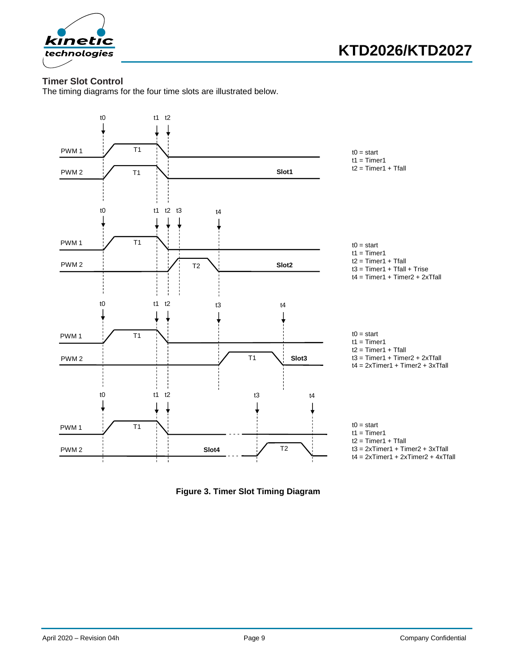

### **Timer Slot Control**

The timing diagrams for the four time slots are illustrated below.



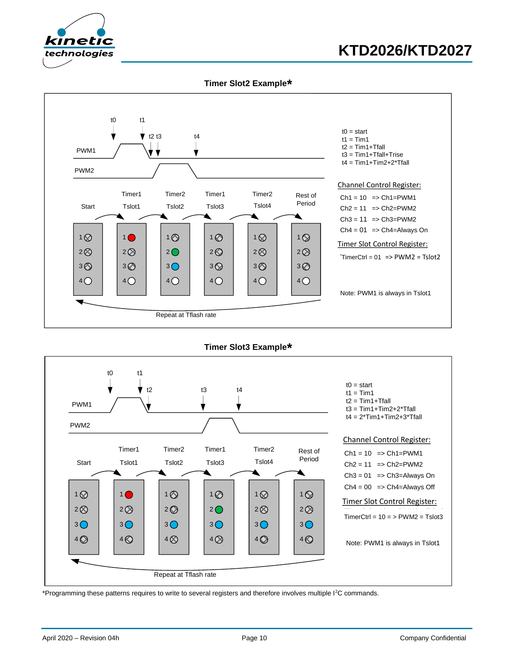

# **KTD2026/KTD2027**

**Timer Slot2 Example\***



**Timer Slot3 Example\***



\*Programming these patterns requires to write to several registers and therefore involves multiple I<sup>2</sup>C commands.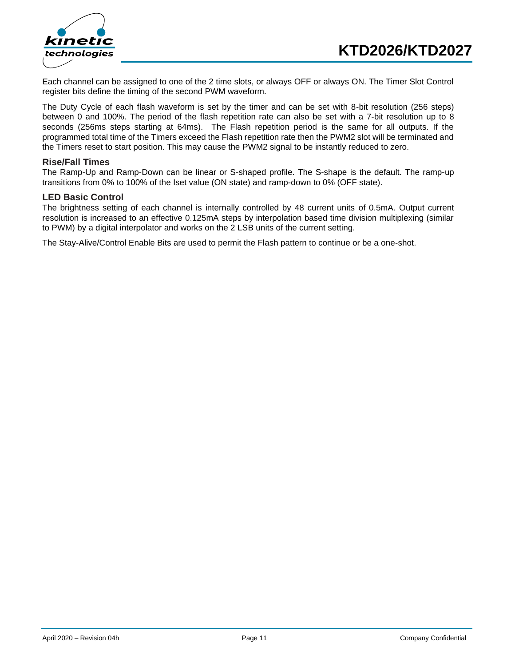



Each channel can be assigned to one of the 2 time slots, or always OFF or always ON. The Timer Slot Control register bits define the timing of the second PWM waveform.

The Duty Cycle of each flash waveform is set by the timer and can be set with 8-bit resolution (256 steps) between 0 and 100%. The period of the flash repetition rate can also be set with a 7-bit resolution up to 8 seconds (256ms steps starting at 64ms). The Flash repetition period is the same for all outputs. If the programmed total time of the Timers exceed the Flash repetition rate then the PWM2 slot will be terminated and the Timers reset to start position. This may cause the PWM2 signal to be instantly reduced to zero.

#### **Rise/Fall Times**

The Ramp-Up and Ramp-Down can be linear or S-shaped profile. The S-shape is the default. The ramp-up transitions from 0% to 100% of the Iset value (ON state) and ramp-down to 0% (OFF state).

#### **LED Basic Control**

The brightness setting of each channel is internally controlled by 48 current units of 0.5mA. Output current resolution is increased to an effective 0.125mA steps by interpolation based time division multiplexing (similar to PWM) by a digital interpolator and works on the 2 LSB units of the current setting.

The Stay-Alive/Control Enable Bits are used to permit the Flash pattern to continue or be a one-shot.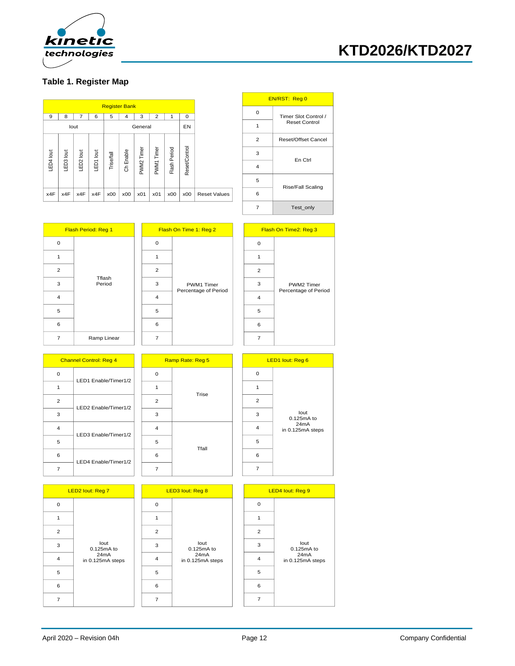

### **Table 1. Register Map**

| EN/RSI: Reg U        |                |                     |               |              |            |         |                      |            |      |                  |           |           |
|----------------------|----------------|---------------------|---------------|--------------|------------|---------|----------------------|------------|------|------------------|-----------|-----------|
|                      | 0              |                     |               |              |            |         | <b>Register Bank</b> |            |      |                  |           |           |
| <b>Timer Slot Co</b> |                |                     | 0             |              | 2          | 3       | 4                    | 5          | 6    | 7                | 8         | 9         |
| Reset Con            |                |                     | EN            |              |            | General |                      |            |      | lout             |           |           |
| Reset/Offset         | 2              |                     |               |              |            |         |                      |            |      |                  |           |           |
| En Ctrl              | 3              |                     |               |              |            | Timer   | Enable               |            | lout | $\overline{5}$   |           |           |
|                      | $\overline{4}$ |                     | Reset/Control | Flash Period | PWM1 Timer | PWM2    | රි                   | Trise/fall | 百    | LED <sub>2</sub> | LED3 lout | LED4 lout |
| Rise/Fall Sc         | 5              |                     |               |              |            |         |                      |            |      |                  |           |           |
|                      | 6              | <b>Reset Values</b> | x00           | x00          | x01        | x01     | x00                  | x00        | x4F  | x4F              | x4F       | x4F       |
| Test onl             | $\overline{7}$ |                     |               |              |            |         |                      |            |      |                  |           |           |

 $\overline{\phantom{a}}$ 

|              | EN/RST: Reg 0              |  |  |  |  |  |
|--------------|----------------------------|--|--|--|--|--|
| O            | Timer Slot Control /       |  |  |  |  |  |
|              | Reset Control              |  |  |  |  |  |
| $\mathbf{2}$ | <b>Reset/Offset Cancel</b> |  |  |  |  |  |
| 3            | En Ctrl                    |  |  |  |  |  |
| 4            |                            |  |  |  |  |  |
| 5            | <b>Rise/Fall Scaling</b>   |  |  |  |  |  |
| 6            |                            |  |  |  |  |  |
|              | Test_only                  |  |  |  |  |  |

f

| Flash Period: Reg 1 |                  |  |  |  |  |  |
|---------------------|------------------|--|--|--|--|--|
| 0                   |                  |  |  |  |  |  |
|                     |                  |  |  |  |  |  |
| $\overline{2}$      | Tflash<br>Period |  |  |  |  |  |
| 3                   |                  |  |  |  |  |  |
| 4                   |                  |  |  |  |  |  |
| 5                   |                  |  |  |  |  |  |
| 6                   |                  |  |  |  |  |  |
| 7                   | Ramp Linear      |  |  |  |  |  |

| Flash On Time 1: Reg 2 |                                    |  |  |  |  |  |
|------------------------|------------------------------------|--|--|--|--|--|
| $\Omega$               |                                    |  |  |  |  |  |
|                        |                                    |  |  |  |  |  |
| $\overline{2}$         |                                    |  |  |  |  |  |
| 3                      | PWM1 Timer<br>Percentage of Period |  |  |  |  |  |
| 4                      |                                    |  |  |  |  |  |
| 5                      |                                    |  |  |  |  |  |
| 6                      |                                    |  |  |  |  |  |
|                        |                                    |  |  |  |  |  |

| Flash On Time2: Reg 3 |                                    |  |  |  |  |  |
|-----------------------|------------------------------------|--|--|--|--|--|
| 0                     |                                    |  |  |  |  |  |
| 1                     |                                    |  |  |  |  |  |
| 2                     |                                    |  |  |  |  |  |
| 3                     | PWM2 Timer<br>Percentage of Period |  |  |  |  |  |
| 4                     |                                    |  |  |  |  |  |
| 5                     |                                    |  |  |  |  |  |
| 6                     |                                    |  |  |  |  |  |
|                       |                                    |  |  |  |  |  |

|                | <b>Channel Control: Reg 4</b> |                | Ramp Rate: Reg 5 |  |                             | LED1 lout: Reg 6              |  |  |
|----------------|-------------------------------|----------------|------------------|--|-----------------------------|-------------------------------|--|--|
| $\mathbf 0$    | LED1 Enable/Timer1/2          | $\mathbf 0$    |                  |  | $\mathbf 0$                 |                               |  |  |
| 1              |                               | 1              | Trise            |  |                             |                               |  |  |
| $\overline{2}$ | LED2 Enable/Timer1/2          | $\overline{2}$ |                  |  | $\overline{2}$<br>lout<br>3 |                               |  |  |
| 3              |                               | 3              |                  |  |                             | 0.125mA to                    |  |  |
| $\overline{4}$ | LED3 Enable/Timer1/2          | $\overline{4}$ | Tfall            |  | $\overline{4}$              | 24mA<br>in 0.125mA steps      |  |  |
| 5              |                               | 5              |                  |  | 5                           |                               |  |  |
| 6              | LED4 Enable/Timer1/2          | 6              |                  |  | 6                           |                               |  |  |
| $\overline{7}$ |                               | 7              |                  |  | 7                           |                               |  |  |
|                |                               |                |                  |  |                             |                               |  |  |
|                | . _ _ _                       |                |                  |  |                             | <b><i>COMMAND COMMAND</i></b> |  |  |

| LED2 lout: Reg 7 |                                                |   |                |  |
|------------------|------------------------------------------------|---|----------------|--|
| 0                |                                                | O |                |  |
|                  | lout<br>0.125mA to<br>24mA<br>in 0.125mA steps |   |                |  |
| $\overline{2}$   |                                                |   | $\overline{2}$ |  |
| 3                |                                                | 3 |                |  |
| 4                |                                                | 4 |                |  |
| 5                |                                                | 5 |                |  |
| 6                |                                                | 6 |                |  |
|                  |                                                |   |                |  |



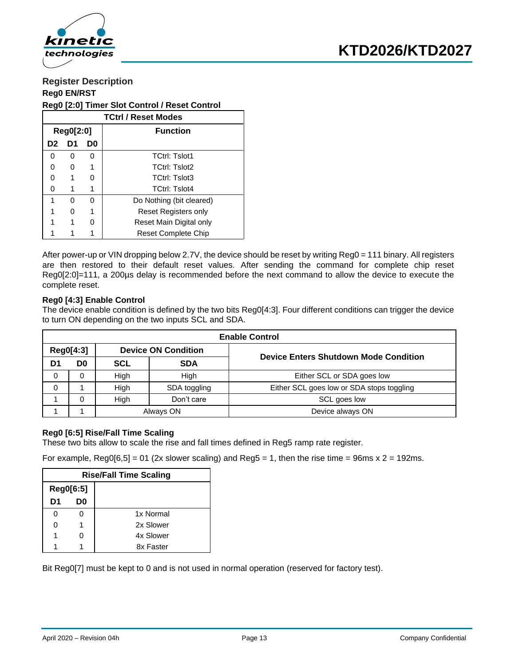

### **Register Description Reg0 EN/RST**

#### **Reg0 [2:0] Timer Slot Control / Reset Control**

|                            | <b>TCtrl / Reset Modes</b> |   |                             |  |  |  |  |  |  |
|----------------------------|----------------------------|---|-----------------------------|--|--|--|--|--|--|
| Reg0[2:0]                  |                            |   | <b>Function</b>             |  |  |  |  |  |  |
| D0<br>D1<br>D <sub>2</sub> |                            |   |                             |  |  |  |  |  |  |
| O                          | O                          | 0 | <b>TCtrl: Tslot1</b>        |  |  |  |  |  |  |
|                            |                            | 1 | <b>TCtrl: Tslot2</b>        |  |  |  |  |  |  |
|                            |                            | O | <b>TCtrl: Tslot3</b>        |  |  |  |  |  |  |
|                            |                            |   | <b>TCtrl: Tslot4</b>        |  |  |  |  |  |  |
|                            | O                          | ∩ | Do Nothing (bit cleared)    |  |  |  |  |  |  |
|                            |                            | 1 | <b>Reset Registers only</b> |  |  |  |  |  |  |
|                            |                            | ∩ | Reset Main Digital only     |  |  |  |  |  |  |
|                            |                            |   | <b>Reset Complete Chip</b>  |  |  |  |  |  |  |

After power-up or VIN dropping below 2.7V, the device should be reset by writing Reg0 = 111 binary. All registers are then restored to their default reset values. After sending the command for complete chip reset Reg0[2:0]=111, a 200µs delay is recommended before the next command to allow the device to execute the complete reset.

#### **Reg0 [4:3] Enable Control**

The device enable condition is defined by the two bits Reg0[4:3]. Four different conditions can trigger the device to turn ON depending on the two inputs SCL and SDA.

|    | <b>Enable Control</b> |      |                            |                                              |  |  |  |  |  |  |  |  |
|----|-----------------------|------|----------------------------|----------------------------------------------|--|--|--|--|--|--|--|--|
|    | Reg0[4:3]             |      | <b>Device ON Condition</b> |                                              |  |  |  |  |  |  |  |  |
| D1 | D0                    | SCL  | <b>SDA</b>                 | <b>Device Enters Shutdown Mode Condition</b> |  |  |  |  |  |  |  |  |
| 0  | 0                     | High | High                       | Either SCL or SDA goes low                   |  |  |  |  |  |  |  |  |
| 0  |                       | Hiah | SDA toggling               | Either SCL goes low or SDA stops toggling    |  |  |  |  |  |  |  |  |
|    | 0                     | High | Don't care                 | SCL goes low                                 |  |  |  |  |  |  |  |  |
|    |                       |      | Always ON                  | Device always ON                             |  |  |  |  |  |  |  |  |

#### **Reg0 [6:5] Rise/Fall Time Scaling**

These two bits allow to scale the rise and fall times defined in Reg5 ramp rate register.

For example,  $Reg0[6,5] = 01$  (2x slower scaling) and  $Reg5 = 1$ , then the rise time = 96ms x 2 = 192ms.

|           | <b>Rise/Fall Time Scaling</b> |           |  |  |  |  |  |
|-----------|-------------------------------|-----------|--|--|--|--|--|
| Reg0[6:5] |                               |           |  |  |  |  |  |
| D1        | D <sub>0</sub>                |           |  |  |  |  |  |
| 0         | 0                             | 1x Normal |  |  |  |  |  |
| 0         |                               | 2x Slower |  |  |  |  |  |
| 1         | O                             | 4x Slower |  |  |  |  |  |
|           |                               | 8x Faster |  |  |  |  |  |

Bit Reg0[7] must be kept to 0 and is not used in normal operation (reserved for factory test).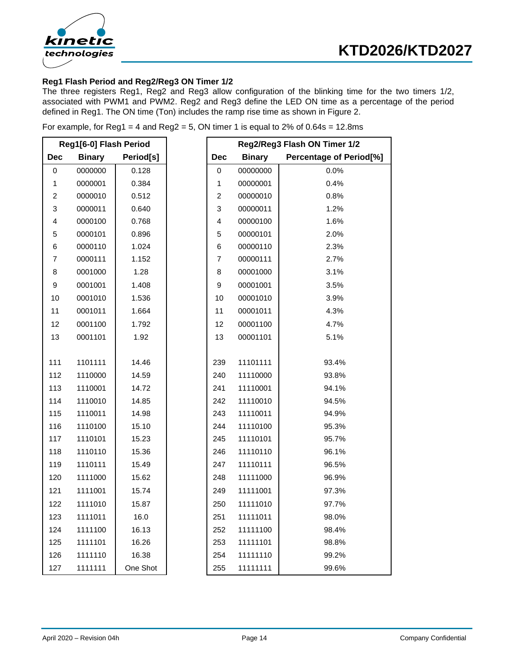

### **Reg1 Flash Period and Reg2/Reg3 ON Timer 1/2**

The three registers Reg1, Reg2 and Reg3 allow configuration of the blinking time for the two timers 1/2, associated with PWM1 and PWM2. Reg2 and Reg3 define the LED ON time as a percentage of the period defined in Reg1. The ON time (Ton) includes the ramp rise time as shown in Figure 2.

|  | For example, for Reg1 = 4 and Reg2 = 5, ON timer 1 is equal to 2% of 0.64s = 12.8ms |  |  |
|--|-------------------------------------------------------------------------------------|--|--|
|  |                                                                                     |  |  |

|                           | Reg1[6-0] Flash Period |           | Reg2/Reg3 Flash ON Timer 1/2 |               |                                |
|---------------------------|------------------------|-----------|------------------------------|---------------|--------------------------------|
| <b>Dec</b>                | <b>Binary</b>          | Period[s] | <b>Dec</b>                   | <b>Binary</b> | <b>Percentage of Period[%]</b> |
| $\mathbf 0$               | 0000000                | 0.128     | $\mathbf 0$                  | 00000000      | 0.0%                           |
| $\mathbf{1}$              | 0000001                | 0.384     | $\mathbf 1$                  | 00000001      | 0.4%                           |
| $\boldsymbol{2}$          | 0000010                | 0.512     | $\boldsymbol{2}$             | 00000010      | 0.8%                           |
| $\ensuremath{\mathsf{3}}$ | 0000011                | 0.640     | 3                            | 00000011      | 1.2%                           |
| 4                         | 0000100                | 0.768     | 4                            | 00000100      | 1.6%                           |
| 5                         | 0000101                | 0.896     | 5                            | 00000101      | 2.0%                           |
| 6                         | 0000110                | 1.024     | 6                            | 00000110      | 2.3%                           |
| 7                         | 0000111                | 1.152     | 7                            | 00000111      | 2.7%                           |
| 8                         | 0001000                | 1.28      | 8                            | 00001000      | 3.1%                           |
| $\boldsymbol{9}$          | 0001001                | 1.408     | 9                            | 00001001      | 3.5%                           |
| 10                        | 0001010                | 1.536     | 10                           | 00001010      | 3.9%                           |
| 11                        | 0001011                | 1.664     | 11                           | 00001011      | 4.3%                           |
| 12                        | 0001100                | 1.792     | 12                           | 00001100      | 4.7%                           |
| 13                        | 0001101                | 1.92      | 13                           | 00001101      | 5.1%                           |
|                           |                        |           |                              |               |                                |
| 111                       | 1101111                | 14.46     | 239                          | 11101111      | 93.4%                          |
| 112                       | 1110000                | 14.59     | 240                          | 11110000      | 93.8%                          |
| 113                       | 1110001                | 14.72     | 241                          | 11110001      | 94.1%                          |
| 114                       | 1110010                | 14.85     | 242                          | 11110010      | 94.5%                          |
| 115                       | 1110011                | 14.98     | 243                          | 11110011      | 94.9%                          |
| 116                       | 1110100                | 15.10     | 244                          | 11110100      | 95.3%                          |
| 117                       | 1110101                | 15.23     | 245                          | 11110101      | 95.7%                          |
| 118                       | 1110110                | 15.36     | 246                          | 11110110      | 96.1%                          |
| 119                       | 1110111                | 15.49     | 247                          | 11110111      | 96.5%                          |
| 120                       | 1111000                | 15.62     | 248                          | 11111000      | 96.9%                          |
| 121                       | 1111001                | 15.74     | 249                          | 11111001      | 97.3%                          |
| 122                       | 1111010                | 15.87     | 250                          | 11111010      | 97.7%                          |
| 123                       | 1111011                | 16.0      | 251                          | 11111011      | 98.0%                          |
| 124                       | 1111100                | 16.13     | 252                          | 11111100      | 98.4%                          |
| 125                       | 1111101                | 16.26     | 253                          | 11111101      | 98.8%                          |
| 126                       | 1111110                | 16.38     | 254                          | 11111110      | 99.2%                          |
| 127                       | 1111111                | One Shot  | 255                          | 11111111      | 99.6%                          |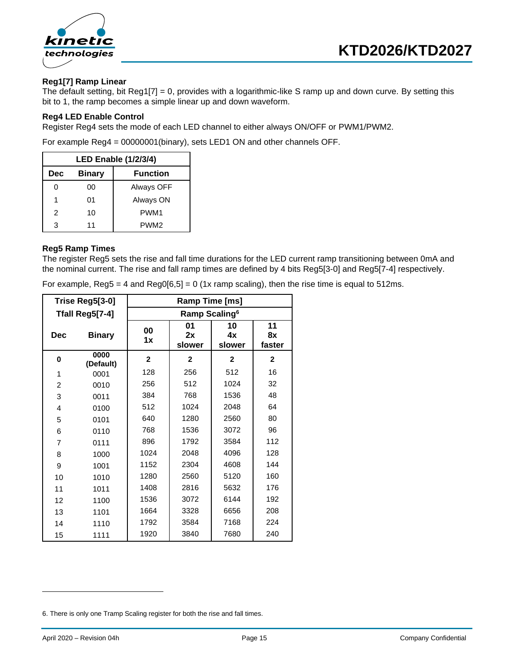

#### **Reg1[7] Ramp Linear**

The default setting, bit Reg1[7] = 0, provides with a logarithmic-like S ramp up and down curve. By setting this bit to 1, the ramp becomes a simple linear up and down waveform.

#### **Reg4 LED Enable Control**

Register Reg4 sets the mode of each LED channel to either always ON/OFF or PWM1/PWM2.

For example Reg4 = 00000001(binary), sets LED1 ON and other channels OFF.

| <b>LED Enable (1/2/3/4)</b> |               |                  |  |  |  |  |  |  |
|-----------------------------|---------------|------------------|--|--|--|--|--|--|
| Dec                         | <b>Binary</b> | <b>Function</b>  |  |  |  |  |  |  |
| O                           | 00            | Always OFF       |  |  |  |  |  |  |
| 1                           | 01            | Always ON        |  |  |  |  |  |  |
| 2                           | 10            | PWM <sub>1</sub> |  |  |  |  |  |  |
| 3                           | 11            | PWM <sub>2</sub> |  |  |  |  |  |  |

#### **Reg5 Ramp Times**

The register Reg5 sets the rise and fall time durations for the LED current ramp transitioning between 0mA and the nominal current. The rise and fall ramp times are defined by 4 bits Reg5[3-0] and Reg5[7-4] respectively.

For example,  $\text{Reg5} = 4$  and  $\text{Reg0[6,5]} = 0$  (1x ramp scaling), then the rise time is equal to 512ms.

| Trise Reg5[3-0] |                   | Ramp Time [ms]            |                    |                    |                    |  |  |  |
|-----------------|-------------------|---------------------------|--------------------|--------------------|--------------------|--|--|--|
|                 | Tfall Reg5[7-4]   | Ramp Scaling <sup>6</sup> |                    |                    |                    |  |  |  |
| <b>Dec</b>      | <b>Binary</b>     | 00<br>1x                  | 01<br>2x<br>slower | 10<br>4х<br>slower | 11<br>8x<br>faster |  |  |  |
| 0               | 0000<br>(Default) | $\mathbf{2}$              | $\mathbf 2$        | $\mathbf{2}$       | $\mathbf 2$        |  |  |  |
| 1               | 0001              | 128                       | 256                | 512                | 16                 |  |  |  |
| $\overline{2}$  | 0010              | 256                       | 512                | 1024               | 32                 |  |  |  |
| 3               | 0011              | 384                       | 768                | 1536               | 48                 |  |  |  |
| 4               | 0100              | 512                       | 1024               | 2048               | 64                 |  |  |  |
| 5               | 0101              | 640                       | 1280               | 2560               | 80                 |  |  |  |
| 6               | 0110              | 768                       | 1536               | 3072               | 96                 |  |  |  |
| $\overline{7}$  | 0111              | 896                       | 1792               | 3584               | 112                |  |  |  |
| 8               | 1000              | 1024                      | 2048               | 4096               | 128                |  |  |  |
| 9               | 1001              | 1152                      | 2304               | 4608               | 144                |  |  |  |
| 10              | 1010              | 1280                      | 2560               | 5120               | 160                |  |  |  |
| 11              | 1011              | 1408                      | 2816               | 5632               | 176                |  |  |  |
| 12              | 1100              | 1536                      | 3072               | 6144               | 192                |  |  |  |
| 13              | 1101              | 1664                      | 3328               | 6656               | 208                |  |  |  |
| 14              | 1110              | 1792                      | 3584               | 7168               | 224                |  |  |  |
| 15              | 1111              | 1920                      | 3840               | 7680               | 240                |  |  |  |

<sup>6.</sup> There is only one Tramp Scaling register for both the rise and fall times.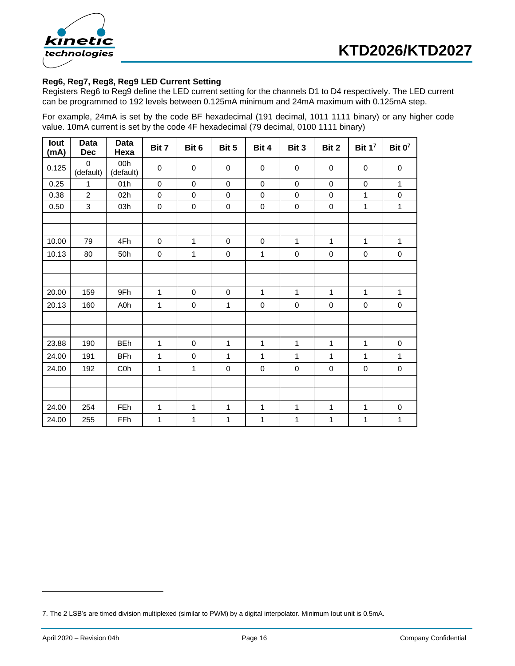<span id="page-15-0"></span>



#### **Reg6, Reg7, Reg8, Reg9 LED Current Setting**

Registers Reg6 to Reg9 define the LED current setting for the channels D1 to D4 respectively. The LED current can be programmed to 192 levels between 0.125mA minimum and 24mA maximum with 0.125mA step.

For example, 24mA is set by the code BF hexadecimal (191 decimal, 1011 1111 binary) or any higher code value. 10mA current is set by the code 4F hexadecimal (79 decimal, 0100 1111 binary)

| lout<br>(mA) | Data<br><b>Dec</b>       | Data<br>Hexa     | Bit 7        | Bit 6        | Bit 5        | Bit 4        | Bit 3        | Bit 2        | Bit $1^7$    | Bit $0^7$    |
|--------------|--------------------------|------------------|--------------|--------------|--------------|--------------|--------------|--------------|--------------|--------------|
| 0.125        | $\mathbf 0$<br>(default) | 00h<br>(default) | $\mathsf 0$  | $\pmb{0}$    | $\pmb{0}$    | $\mathbf 0$  | $\mathbf 0$  | $\pmb{0}$    | $\pmb{0}$    | $\pmb{0}$    |
| 0.25         | $\mathbf{1}$             | 01h              | $\pmb{0}$    | $\mathbf 0$  | 0            | $\mathbf 0$  | $\mathbf 0$  | $\pmb{0}$    | $\pmb{0}$    | $\mathbf{1}$ |
| 0.38         | $\overline{2}$           | 02h              | $\pmb{0}$    | $\mathbf 0$  | $\pmb{0}$    | $\mathbf 0$  | $\mathbf 0$  | $\pmb{0}$    | $\mathbf{1}$ | $\pmb{0}$    |
| 0.50         | 3                        | 03h              | $\pmb{0}$    | $\pmb{0}$    | $\pmb{0}$    | $\pmb{0}$    | $\mathsf 0$  | $\pmb{0}$    | $\mathbf{1}$ | $\mathbf{1}$ |
|              |                          |                  |              |              |              |              |              |              |              |              |
|              |                          |                  |              |              |              |              |              |              |              |              |
| 10.00        | 79                       | 4Fh              | $\pmb{0}$    | $\mathbf{1}$ | $\pmb{0}$    | $\pmb{0}$    | $\mathbf{1}$ | $\mathbf{1}$ | $\mathbf{1}$ | $\mathbf{1}$ |
| 10.13        | 80                       | 50h              | $\pmb{0}$    | $\mathbf{1}$ | $\mathbf 0$  | $\mathbf{1}$ | $\mathsf 0$  | $\pmb{0}$    | $\pmb{0}$    | $\pmb{0}$    |
|              |                          |                  |              |              |              |              |              |              |              |              |
|              |                          |                  |              |              |              |              |              |              |              |              |
| 20.00        | 159                      | 9Fh              | $\mathbf{1}$ | $\mathbf 0$  | $\pmb{0}$    | $\mathbf{1}$ | $\mathbf{1}$ | 1            | $\mathbf{1}$ | $\mathbf{1}$ |
| 20.13        | 160                      | A0h              | 1            | $\pmb{0}$    | 1            | 0            | $\pmb{0}$    | 0            | $\pmb{0}$    | $\pmb{0}$    |
|              |                          |                  |              |              |              |              |              |              |              |              |
|              |                          |                  |              |              |              |              |              |              |              |              |
| 23.88        | 190                      | <b>BEh</b>       | $\mathbf{1}$ | $\pmb{0}$    | $\mathbf 1$  | $\mathbf{1}$ | $\mathbf{1}$ | $\mathbf{1}$ | $\mathbf{1}$ | $\pmb{0}$    |
| 24.00        | 191                      | <b>BFh</b>       | 1            | $\pmb{0}$    | 1            | 1            | $\mathbf{1}$ | 1            | 1            | $\mathbf{1}$ |
| 24.00        | 192                      | C <sub>0</sub> h | 1            | $\mathbf{1}$ | $\mathbf 0$  | $\pmb{0}$    | $\pmb{0}$    | $\pmb{0}$    | $\pmb{0}$    | $\pmb{0}$    |
|              |                          |                  |              |              |              |              |              |              |              |              |
|              |                          |                  |              |              |              |              |              |              |              |              |
| 24.00        | 254                      | FEh              | 1            | $\mathbf{1}$ | 1            | $\mathbf{1}$ | $\mathbf{1}$ | 1            | 1            | $\pmb{0}$    |
| 24.00        | 255                      | FFh              | $\mathbf 1$  | $\mathbf{1}$ | $\mathbf{1}$ | $\mathbf{1}$ | $\mathbf{1}$ | $\mathbf{1}$ | $\mathbf{1}$ | $\mathbf{1}$ |

<sup>7.</sup> The 2 LSB's are timed division multiplexed (similar to PWM) by a digital interpolator. Minimum Iout unit is 0.5mA.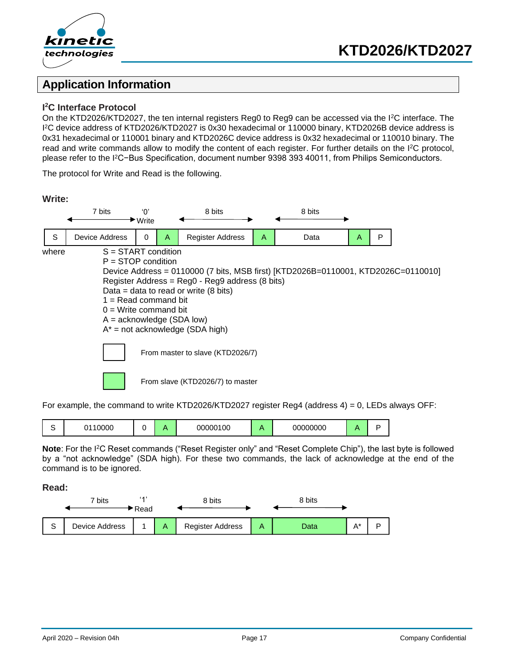

### **Application Information**

#### **I <sup>2</sup>C Interface Protocol**

**Write:**

On the KTD2026/KTD2027, the ten internal registers Reg0 to Reg9 can be accessed via the I<sup>2</sup>C interface. The I <sup>2</sup>C device address of KTD2026/KTD2027 is 0x30 hexadecimal or 110000 binary, KTD2026B device address is 0x31 hexadecimal or 110001 binary and KTD2026C device address is 0x32 hexadecimal or 110010 binary. The read and write commands allow to modify the content of each register. For further details on the I<sup>2</sup>C protocol, please refer to the I<sup>2</sup>C−Bus Specification, document number 9398 393 40011, from Philips Semiconductors.

The protocol for Write and Read is the following.

| <u></u> |                                                                                                                                          |                                    |   |                                                                                                                                                                                                                  |   |                                                                                   |   |   |  |
|---------|------------------------------------------------------------------------------------------------------------------------------------------|------------------------------------|---|------------------------------------------------------------------------------------------------------------------------------------------------------------------------------------------------------------------|---|-----------------------------------------------------------------------------------|---|---|--|
|         | 7 bits                                                                                                                                   | 'በ'<br>$\blacktriangleright$ Write |   | 8 bits                                                                                                                                                                                                           |   | 8 bits                                                                            |   |   |  |
| S       | <b>Device Address</b>                                                                                                                    | 0                                  | A | <b>Register Address</b>                                                                                                                                                                                          | A | Data                                                                              | Α | P |  |
| where   | $S = \text{START condition}$<br>$P =$ STOP condition<br>$1 =$ Read command bit<br>$0 = Write command bit$<br>$A =$ acknowledge (SDA low) |                                    |   | Register Address = Reg0 - Reg9 address (8 bits)<br>Data = data to read or write $(8 \text{ bits})$<br>$A^*$ = not acknowledge (SDA high)<br>From master to slave (KTD2026/7)<br>From slave (KTD2026/7) to master |   | Device Address = 0110000 (7 bits, MSB first) [KTD2026B=0110001, KTD2026C=0110010] |   |   |  |

For example, the command to write KTD2026/KTD2027 register Reg4 (address 4) = 0, LEDs always OFF:

|  | , nnnr<br>טטע |  |  | 00000100 |  | $\sim$ $\sim$ $\sim$ $\sim$<br>nn<br>υυυυυ |  |  |
|--|---------------|--|--|----------|--|--------------------------------------------|--|--|
|--|---------------|--|--|----------|--|--------------------------------------------|--|--|

**Note**: For the I <sup>2</sup>C Reset commands ("Reset Register only" and "Reset Complete Chip"), the last byte is followed by a "not acknowledge" (SDA high). For these two commands, the lack of acknowledge at the end of the command is to be ignored.

**Read:**

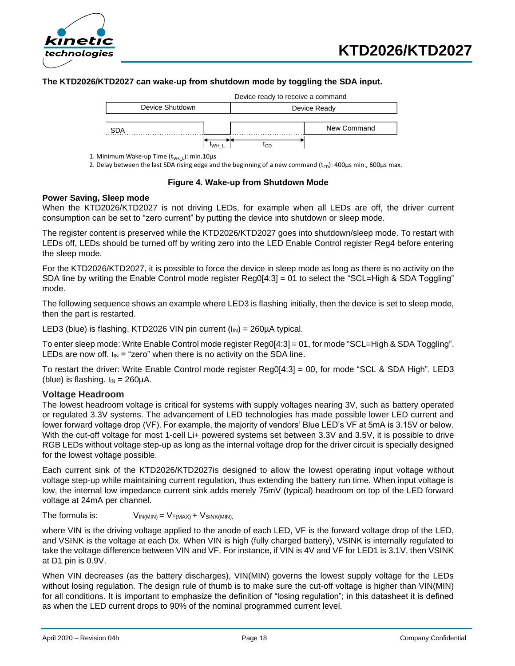



#### **The KTD2026/KTD2027 can wake-up from shutdown mode by toggling the SDA input.**

|     |                 | Device ready to receive a command |             |  |  |  |
|-----|-----------------|-----------------------------------|-------------|--|--|--|
|     | Device Shutdown | Device Ready                      |             |  |  |  |
|     |                 |                                   |             |  |  |  |
| SDA |                 |                                   | New Command |  |  |  |
|     |                 | CЕ                                |             |  |  |  |

1. Minimum Wake-up Time  $(t_{WK_l})$ : min.10µs

2. Delay between the last SDA rising edge and the beginning of a new command  $(t_{CD})$ : 400 $\mu$ s min., 600 $\mu$ s max.

#### **Figure 4. Wake-up from Shutdown Mode**

#### **Power Saving, Sleep mode**

When the KTD2026/KTD2027 is not driving LEDs, for example when all LEDs are off, the driver current consumption can be set to "zero current" by putting the device into shutdown or sleep mode.

The register content is preserved while the KTD2026/KTD2027 goes into shutdown/sleep mode. To restart with LEDs off, LEDs should be turned off by writing zero into the LED Enable Control register Reg4 before entering the sleep mode.

For the KTD2026/KTD2027, it is possible to force the device in sleep mode as long as there is no activity on the SDA line by writing the Enable Control mode register Reg0[4:3] = 01 to select the "SCL=High & SDA Toggling" mode.

The following sequence shows an example where LED3 is flashing initially, then the device is set to sleep mode, then the part is restarted.

LED3 (blue) is flashing. KTD2026 VIN pin current  $(I_{IN}) = 260 \mu A$  typical.

To enter sleep mode: Write Enable Control mode register Reg0[4:3] = 01, for mode "SCL=High & SDA Toggling". LEDs are now off.  $I_{IN}$  = "zero" when there is no activity on the SDA line.

To restart the driver: Write Enable Control mode register Reg0[4:3] = 00, for mode "SCL & SDA High". LED3 (blue) is flashing.  $I_{IN} = 260 \mu A$ .

#### **Voltage Headroom**

The lowest headroom voltage is critical for systems with supply voltages nearing 3V, such as battery operated or regulated 3.3V systems. The advancement of LED technologies has made possible lower LED current and lower forward voltage drop (VF). For example, the majority of vendors' Blue LED's VF at 5mA is 3.15V or below. With the cut-off voltage for most 1-cell Li+ powered systems set between 3.3V and 3.5V, it is possible to drive RGB LEDs without voltage step-up as long as the internal voltage drop for the driver circuit is specially designed for the lowest voltage possible. Device Brudown<br>
SDA<br>
30 Device Ready<br>
30 Device Ready<br>
30 Device Ready<br>
2. Detsy between the last SDA rising edge and the beginning of a new command [t<sub>ri</sub>]-400<br>
2. Detsy between the last SDA rising edge and the beginning

Each current sink of the KTD2026/KTD2027is designed to allow the lowest operating input voltage without voltage step-up while maintaining current regulation, thus extending the battery run time. When input voltage is low, the internal low impedance current sink adds merely 75mV (typical) headroom on top of the LED forward voltage at 24mA per channel.

The formula is:  $V_{IN(MIN)} = V_{F(MAX)} + V_{SINK(MIN)}$ 

where VIN is the driving voltage applied to the anode of each LED, VF is the forward voltage drop of the LED, and VSINK is the voltage at each Dx. When VIN is high (fully charged battery), VSINK is internally regulated to take the voltage difference between VIN and VF. For instance, if VIN is 4V and VF for LED1 is 3.1V, then VSINK at D1 pin is 0.9V.

When VIN decreases (as the battery discharges), VIN(MIN) governs the lowest supply voltage for the LEDs without losing regulation. The design rule of thumb is to make sure the cut-off voltage is higher than VIN(MIN) for all conditions. It is important to emphasize the definition of "losing regulation"; in this datasheet it is defined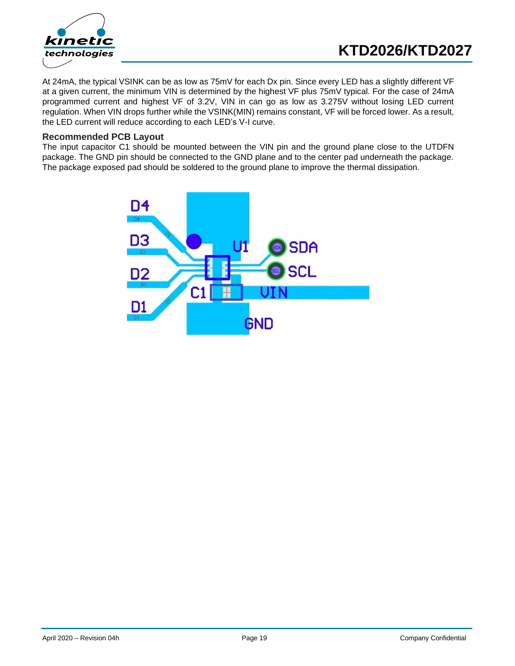

At 24mA, the typical VSINK can be as low as 75mV for each Dx pin. Since every LED has a slightly different VF at a given current, the minimum VIN is determined by the highest VF plus 75mV typical. For the case of 24mA programmed current and highest VF of 3.2V, VIN in can go as low as 3.275V without losing LED current regulation. When VIN drops further while the VSINK(MIN) remains constant, VF will be forced lower. As a result, the LED current will reduce according to each LED's V-I curve.

#### **Recommended PCB Layout**

The input capacitor C1 should be mounted between the VIN pin and the ground plane close to the UTDFN package. The GND pin should be connected to the GND plane and to the center pad underneath the package. The package exposed pad should be soldered to the ground plane to improve the thermal dissipation.

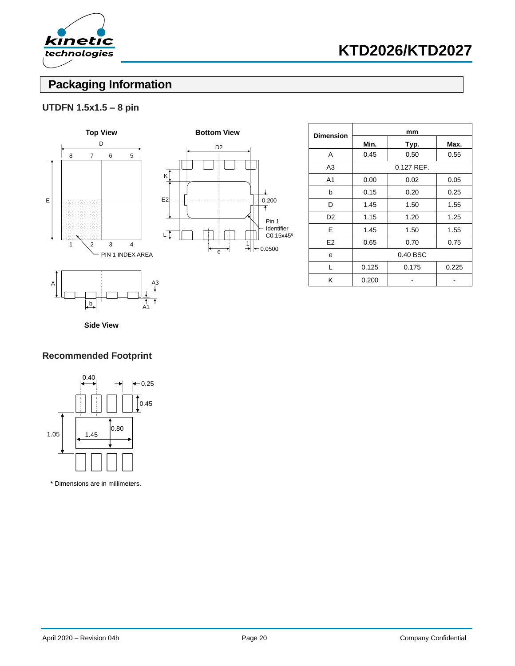

## **Packaging Information**

### **UTDFN 1.5x1.5 – 8 pin**





| <b>Dimension</b> |          | mm         |       |  |  |  |
|------------------|----------|------------|-------|--|--|--|
|                  | Min.     | Typ.       | Max.  |  |  |  |
| A                | 0.45     | 0.50       | 0.55  |  |  |  |
| A <sub>3</sub>   |          | 0.127 REF. |       |  |  |  |
| A <sub>1</sub>   | 0.00     | 0.02       | 0.05  |  |  |  |
| b                | 0.15     | 0.20       | 0.25  |  |  |  |
| D                | 1.45     | 1.50       | 1.55  |  |  |  |
| D <sub>2</sub>   | 1.15     | 1.20       | 1.25  |  |  |  |
| E                | 1.45     | 1.50       | 1.55  |  |  |  |
| E2               | 0.65     | 0.70       | 0.75  |  |  |  |
| е                | 0.40 BSC |            |       |  |  |  |
| L                | 0.125    | 0.175      | 0.225 |  |  |  |
| Κ                | 0.200    |            |       |  |  |  |

 $\mathbf{I}$ 

**Side View**

 $\mathbf{b}$ 

A1

### **Recommended Footprint**



\* Dimensions are in millimeters.